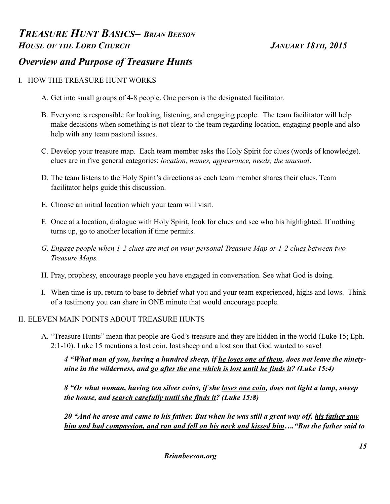# *TREASURE HUNT BASICS– BRIAN BEESON HOUSE OF THE LORD CHURCH JANUARY 18TH, 2015 Overview and Purpose of Treasure Hunts*

# I. HOW THE TREASURE HUNT WORKS

- A. Get into small groups of 4-8 people. One person is the designated facilitator.
- B. Everyone is responsible for looking, listening, and engaging people. The team facilitator will help make decisions when something is not clear to the team regarding location, engaging people and also help with any team pastoral issues.
- C. Develop your treasure map. Each team member asks the Holy Spirit for clues (words of knowledge). clues are in five general categories: *location, names, appearance, needs, the unusual*.
- D. The team listens to the Holy Spirit's directions as each team member shares their clues. Team facilitator helps guide this discussion.
- E. Choose an initial location which your team will visit.
- F. Once at a location, dialogue with Holy Spirit, look for clues and see who his highlighted. If nothing turns up, go to another location if time permits.
- *G. Engage people when 1-2 clues are met on your personal Treasure Map or 1-2 clues between two Treasure Maps.*
- H. Pray, prophesy, encourage people you have engaged in conversation. See what God is doing.
- I. When time is up, return to base to debrief what you and your team experienced, highs and lows. Think of a testimony you can share in ONE minute that would encourage people.

### II. ELEVEN MAIN POINTS ABOUT TREASURE HUNTS

A. "Treasure Hunts" mean that people are God's treasure and they are hidden in the world (Luke 15; Eph. 2:1-10). Luke 15 mentions a lost coin, lost sheep and a lost son that God wanted to save!

*4 "What man of you, having a hundred sheep, if he loses one of them, does not leave the ninetynine in the wilderness, and go after the one which is lost until he finds it? (Luke 15:4)*

*8 "Or what woman, having ten silver coins, if she loses one coin, does not light a lamp, sweep the house, and search carefully until she finds it? (Luke 15:8)*

*20 "And he arose and came to his father. But when he was still a great way off, his father saw him and had compassion, and ran and fell on his neck and kissed him…."But the father said to*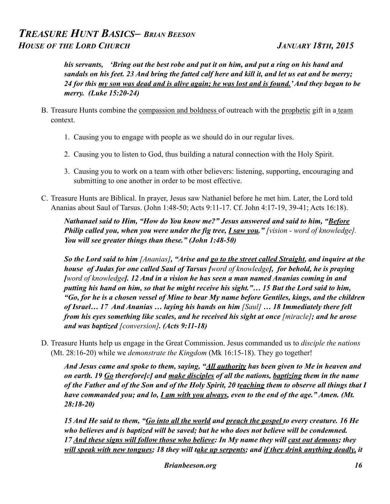*his servants, 'Bring out the best robe and put it on him, and put a ring on his hand and sandals on his feet. 23 And bring the fatted calf here and kill it, and let us eat and be merry; 24 for this my son was dead and is alive again; he was lost and is found.' And they began to be merry. (Luke 15:20-24)*

- B. Treasure Hunts combine the compassion and boldness of outreach with the prophetic gift in a team context.
	- 1. Causing you to engage with people as we should do in our regular lives.
	- 2. Causing you to listen to God, thus building a natural connection with the Holy Spirit.
	- 3. Causing you to work on a team with other believers: listening, supporting, encouraging and submitting to one another in order to be most effective.
- C. Treasure Hunts are Biblical. In prayer, Jesus saw Nathaniel before he met him. Later, the Lord told Ananias about Saul of Tarsus. (John 1:48-50; Acts 9:11-17. Cf. John 4:17-19, 39-41; Acts 16:18).

*Nathanael said to Him, "How do You know me?" Jesus answered and said to him, "Before* **Philip called you, when you were under the fig tree,** *I saw you***."** [vision - word of knowledge]. *You will see greater things than these." (John 1:48-50)*

*So the Lord said to him [Ananias], "Arise and go to the street called Straight, and inquire at the house of Judas for one called Saul of Tarsus [word of knowledge], for behold, he is praying [word of knowledge]. 12 And in a vision he has seen a man named Ananias coming in and putting his hand on him, so that he might receive his sight."… 15 But the Lord said to him, "Go, for he is a chosen vessel of Mine to bear My name before Gentiles, kings, and the children of Israel… 17 And Ananias … laying his hands on him [Saul] … 18 Immediately there fell from his eyes something like scales, and he received his sight at once [miracle]; and he arose and was baptized [conversion]. (Acts 9:11-18)*

D. Treasure Hunts help us engage in the Great Commission. Jesus commanded us to *disciple the nations*  (Mt. 28:16-20) while we *demonstrate the Kingdom* (Mk 16:15-18). They go together!

*And Jesus came and spoke to them, saying, "All authority has been given to Me in heaven and on earth. 19 Go therefore[c] and make disciples of all the nations, baptizing them in the name of the Father and of the Son and of the Holy Spirit, 20 teaching them to observe all things that I have commanded you; and lo, I am with you always, even to the end of the age." Amen. (Mt. 28:18-20)*

*15 And He said to them, "Go into all the world and preach the gospel to every creature. 16 He who believes and is baptized will be saved; but he who does not believe will be condemned. 17 And these signs will follow those who believe: In My name they will cast out demons; they will speak with new tongues; 18 they will take up serpents; and if they drink anything deadly, it*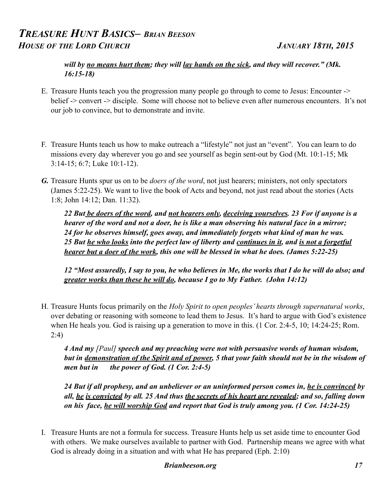### *will by no means hurt them; they will lay hands on the sick, and they will recover." (Mk. 16:15-18)*

- E. Treasure Hunts teach you the progression many people go through to come to Jesus: Encounter -> belief -> convert -> disciple. Some will choose not to believe even after numerous encounters. It's not our job to convince, but to demonstrate and invite.
- F. Treasure Hunts teach us how to make outreach a "lifestyle" not just an "event". You can learn to do missions every day wherever you go and see yourself as begin sent-out by God (Mt. 10:1-15; Mk 3:14-15; 6:7; Luke 10:1-12).
- *G.* Treasure Hunts spur us on to be *doers of the word*, not just hearers; ministers, not only spectators (James 5:22-25). We want to live the book of Acts and beyond, not just read about the stories (Acts 1:8; John 14:12; Dan. 11:32).

*22 But be doers of the word, and not hearers only, deceiving yourselves. 23 For if anyone is a hearer of the word and not a doer, he is like a man observing his natural face in a mirror; 24 for he observes himself, goes away, and immediately forgets what kind of man he was. 25 But he who looks into the perfect law of liberty and continues in it, and is not a forgetful hearer but a doer of the work, this one will be blessed in what he does. (James 5:22-25)*

 *12 "Most assuredly, I say to you, he who believes in Me, the works that I do he will do also; and greater works than these he will do, because I go to My Father. (John 14:12)*

H. Treasure Hunts focus primarily on the *Holy Spirit to open peoples' hearts through supernatural works*, over debating or reasoning with someone to lead them to Jesus. It's hard to argue with God's existence when He heals you. God is raising up a generation to move in this. (1 Cor. 2:4-5, 10; 14:24-25; Rom. 2:4)

*4 And my [Paul] speech and my preaching were not with persuasive words of human wisdom, but in demonstration of the Spirit and of power, 5 that your faith should not be in the wisdom of men but in the power of God. (1 Cor. 2:4-5)*

*24 But if all prophesy, and an unbeliever or an uninformed person comes in, he is convinced by all, he is convicted by all. 25 And thus the secrets of his heart are revealed; and so, falling down on his face, he will worship God and report that God is truly among you. (1 Cor. 14:24-25)*

I. Treasure Hunts are not a formula for success. Treasure Hunts help us set aside time to encounter God with others. We make ourselves available to partner with God. Partnership means we agree with what God is already doing in a situation and with what He has prepared (Eph. 2:10)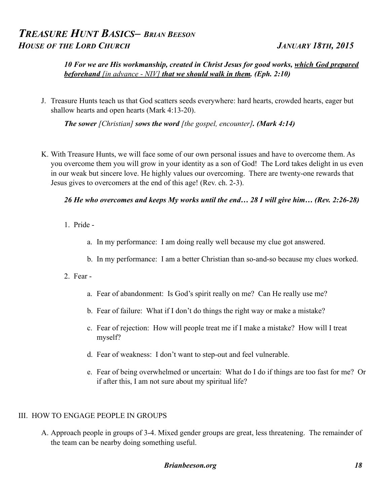*10 For we are His workmanship, created in Christ Jesus for good works, which God prepared beforehand [in advance - NIV] that we should walk in them. (Eph. 2:10)*

J. Treasure Hunts teach us that God scatters seeds everywhere: hard hearts, crowded hearts, eager but shallow hearts and open hearts (Mark 4:13-20).

*The sower [Christian] sows the word [the gospel, encounter]. (Mark 4:14)*

K. With Treasure Hunts, we will face some of our own personal issues and have to overcome them. As you overcome them you will grow in your identity as a son of God! The Lord takes delight in us even in our weak but sincere love. He highly values our overcoming. There are twenty-one rewards that Jesus gives to overcomers at the end of this age! (Rev. ch. 2-3).

### *26 He who overcomes and keeps My works until the end… 28 I will give him… (Rev. 2:26-28)*

- 1. Pride
	- a. In my performance: I am doing really well because my clue got answered.
	- b. In my performance: I am a better Christian than so-and-so because my clues worked.
- 2. Fear
	- a. Fear of abandonment: Is God's spirit really on me? Can He really use me?
	- b. Fear of failure: What if I don't do things the right way or make a mistake?
	- c. Fear of rejection: How will people treat me if I make a mistake? How will I treat myself?
	- d. Fear of weakness: I don't want to step-out and feel vulnerable.
	- e. Fear of being overwhelmed or uncertain: What do I do if things are too fast for me? Or if after this, I am not sure about my spiritual life?

#### III. HOW TO ENGAGE PEOPLE IN GROUPS

A. Approach people in groups of 3-4. Mixed gender groups are great, less threatening. The remainder of the team can be nearby doing something useful.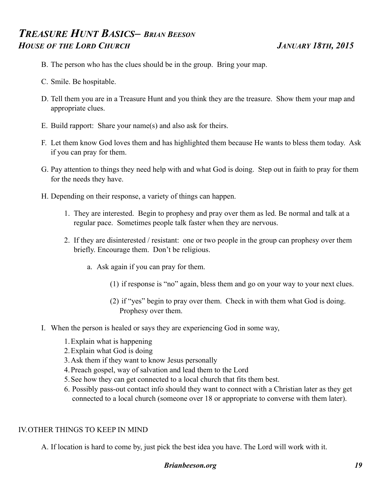- B. The person who has the clues should be in the group. Bring your map.
- C. Smile. Be hospitable.
- D. Tell them you are in a Treasure Hunt and you think they are the treasure. Show them your map and appropriate clues.
- E. Build rapport: Share your name(s) and also ask for theirs.
- F. Let them know God loves them and has highlighted them because He wants to bless them today. Ask if you can pray for them.
- G. Pay attention to things they need help with and what God is doing. Step out in faith to pray for them for the needs they have.
- H. Depending on their response, a variety of things can happen.
	- 1. They are interested. Begin to prophesy and pray over them as led. Be normal and talk at a regular pace. Sometimes people talk faster when they are nervous.
	- 2. If they are disinterested / resistant: one or two people in the group can prophesy over them briefly. Encourage them. Don't be religious.
		- a. Ask again if you can pray for them.
			- (1) if response is "no" again, bless them and go on your way to your next clues.
			- (2) if "yes" begin to pray over them. Check in with them what God is doing. Prophesy over them.
- I. When the person is healed or says they are experiencing God in some way,
	- 1.Explain what is happening
	- 2.Explain what God is doing
	- 3.Ask them if they want to know Jesus personally
	- 4.Preach gospel, way of salvation and lead them to the Lord
	- 5.See how they can get connected to a local church that fits them best.
	- 6. Possibly pass-out contact info should they want to connect with a Christian later as they get connected to a local church (someone over 18 or appropriate to converse with them later).

### IV.OTHER THINGS TO KEEP IN MIND

A. If location is hard to come by, just pick the best idea you have. The Lord will work with it.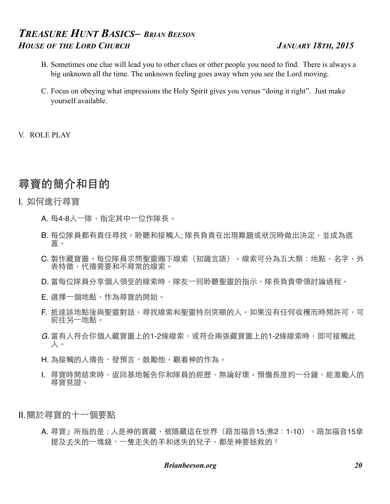- B. Sometimes one clue will lead you to other clues or other people you need to find. There is always a big unknown all the time. The unknown feeling goes away when you see the Lord moving.
- C. Focus on obeying what impressions the Holy Spirit gives you versus "doing it right". Just make yourself available.

V. ROLE PLAY

# 尋寶的簡介和目的

- I. 如何進⾏尋寶
	- A. 每4-8人一隊,指定其中一位作隊長。
	- B. 每位隊員都有責任尋找,聆聽和接觸人; 隊長負責在出現難題或狀況時做出決定,並成為遮 蓋。
	- C. 製作藏寶圖。每位隊員求問聖靈賜下線索(知識言語)。線索可分為五大類: 地點, 名字, 外 表特徵,代禱需要和不尋常的線索。
	- D. 當每位隊員分享個人領受的線索時,隊友一同聆聽聖靈的指示,隊長負責帶領討論過程。
	- E. 選擇一個地點,作為尋寶的開始。
	- F. 抵達該地點後與聖靈對話,尋找線索和聖靈特別突顯的人。如果沒有任何收穫而時間許可,可 前往另⼀地點。
	- *G.* 當有⼈符合你個⼈藏寶圖上的1-2條線索,或符合兩張藏寶圖上的1-2條線索時,即可接觸此 ⼈。
	- H. 為接觸的人禱告、發預言、鼓勵他, 觀看神的作為。
	- I. 尋寶時間結束時,返回基地報告你和隊員的經歷,無論好壞。預備長度約一分鐘,能激勵人的 尋寶⾒證。
- Ⅱ.關於尋寶的十一個要點
	- A. 尋寶」所指的是: 人是神的寶藏, 被隱藏這在世界 (路加福音15;弗2:1-10) 。路加福音15章 提及丢失的一塊錢、一隻走失的羊和迷失的兒子,都是神要拯救的!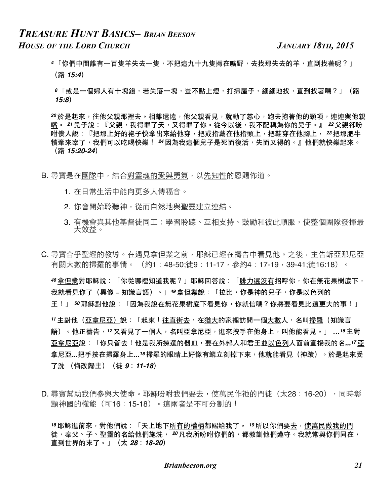- <u>4「你們中間誰有一百隻羊失去一隻,不把這九十九隻撇在曠野,去找那失去的羊,直到找著呢?」</u> (路 *15:4*)
- <mark>8「或是一個婦人有十塊錢,若失落一塊,豈不點上燈,打掃屋子,細細地找,直到找著嗎?」(路</mark> *15:8*)

20於是起來,往他父親那裡去。相離還遠,他父親看見,就動了慈心,跑去抱著他的頸項,連連與他親 嘴。 21 兒子說:『父親,我得罪了天,又得罪了你。從今以後,我不配稱為你的兒子。』 22 父親卻吩 咐僕人說:『把那上好的袍子快拿出來給他穿,把戒指戴在他指頭上,把鞋穿在他腳上, *2*3 把那肥牛 犢牽來宰了,我們可以吃喝快樂! 24因為我這個兒子是死而復活,失而又得的。』他們就快樂起來。 (路 *15:20-24*)

B. 尋寶是在團隊中, 結合對靈魂的愛與勇氣, 以先知性的恩賜佈道。

- 1. 在日常生活中能向更多人傳福音。
- 2. 你會開始聆聽神,從而自然地與聖靈建立連結。
- 3. 有機會與其他基督徒同工:學習聆聽、互相支持、鼓勵和彼此順服,使整個團隊發揮最 ⼤效益。
- C. 尋寶合乎聖經的教導。在遇見拿但業之前, 耶稣已經在禱告中看見他。之後, 主告訴亞那尼亞 有關大數的掃羅的事情。 (約1:48-50:徒9:11-17,參約4:17-19,39-41:徒16:18)。

<del>"8</del> 拿但業對耶穌說:「你從哪裡知道我呢?」耶穌回答說:「腓力還沒有招呼你,你在無花果樹底下, 我就看見你了(異像 – 知識言語)。」<sup>49</sup>拿但業說:「拉比,你是神的兒子,你是以色列的 ⺩!」 *<sup>50</sup>* 耶穌對他說:「因為我說在無花果樹底下看⾒你,你就信嗎?你將要看⾒⽐這更⼤的事!」

**〃主對他(亞拿尼亞)說:「起來!往直街去,在猶大的家裡訪問一個大數人,名叫掃羅(知識言** 語)。他正禱告,12又看見了一個人,名叫亞拿尼亞,進來按手在他身上,叫他能看見。」 ...15 主對 亞拿尼亞說:「你只管去!他是我所揀選的器皿,要在外邦人和君王並以色列人面前宣揚我的名...<sup>17</sup>亞 拿尼亞...把手按在掃羅身上...<sup>18</sup> 掃羅的眼睛上好像有鱗立刻掉下來,他就能看見(神蹟)。於是起來受 了洗 (悔改歸主)(徒 *9*:*11-18*)

D. 尋寶幫助我們參與大使命。耶稣吩咐我們要去, 使萬民作祂的門徒 (太28:16-20), 同時彰 顯神國的權能 (可16:15-18) 。這兩者是不可分割的!

18耶穌進前來,對他們說:「天上地下所有的權柄都賜給我了。 19所以你們要去,使萬民做我的門 徒,奉父、子、聖靈的名給他們施洗, 20 凡我所吩咐你們的, 都教訓他們遵守。我就常與你們同在, 直到世界的末了。」(太 *28*:*18-20*)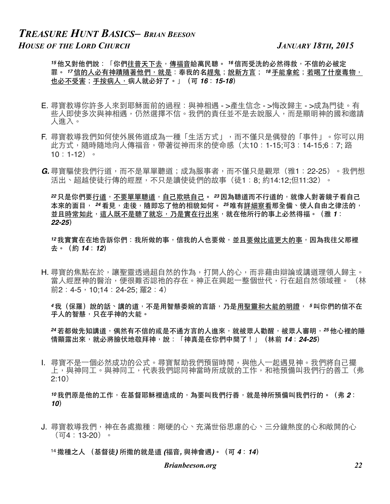15 他又對他們說:「你們<u>往普天下去,傳福音</u>給萬民聽。 16 信而受洗的必然得救,不信的必被定 罪。 *''* 信的人必有神蹟隨著他們,就是:奉我的名<u>趕鬼;說新方言; '<sup>8</sup> 手能拿蛇;若喝了什麼毒物,</u> 也必不受害;手按病人,病人就必好了。」(可 *16*:*15-18*)

- E. 尋寶教導你許多人來到耶穌面前的過程:與神相遇 >產生信念 >悔改歸主 >成為門徒。有 些人即使多次與神相遇,仍然選擇不信。我們的責任並不是去說服人,而是顯明神的國和邀請 ⼈進⼊。
- F. 尋寶教導我們如何使外展佈道成為一種「生活方式」,而不僅只是偶發的「事件」。你可以用 此方式,隨時隨地向人傳福音,帶著從神而來的使命感(太10:1-15;可3:14-15;6:7; 路 10:1-12)。
- *G.* 尋寶驅使我們行道,而不是單單聽道;成為服事者,而不僅只是觀眾(雅1∶22-25)。我們想 活出、超越使徒行傳的經歷,不只是讀使徒們的故事(徒1:8: 約14:12:但11:32)。

*2*2 只是你們要行道,不要單單聽道,自己欺哄自己。 29 因為聽道而不行道的,就像人對著鏡子看自己 本來的面目, 24 看見,走後,隨即忘了他的相貌如何。 25 唯有詳細察看那全備、使人自由之律法的, 並且時常如此,這人既不是聽了就忘,乃是實在行出來,就在他所行的事上必然得福。(雅 1: *22-25*)

12 我實實在在地告訴你們:我所做的事,信我的人也要做,並且要做比這更大的事,因為我往父那裡 去。(約 *14*:*12*)

H. 尋寶的焦點在於,讓聖靈透過超自然的作為,打開人的心,而非藉由辯論或講道理領人歸主。 當人經歷神的醫治,便很難否認祂的存在。神正在興起一整個世代,行在超自然領域裡。 (林 前2:4-5,10:14:24-25: 羅2:4)

<mark>4我(保羅)說的話、講的道,不是用智慧委婉的言語,乃是用聖靈和大能的明證, <sup>5</sup>叫你們的信不在</mark> 平人的智慧,只在乎神的大能。

24 若都做先知講道, 偶然有不信的或是不通方言的人進來, 就被眾人勸醒, 被眾人審明, 25 他心裡的隱 情顯露出來,就必將臉伏地敬拜神,說:「神真是在你們中間了!」(林前 *14*:*24-25*)

Ⅰ. 尋寶不是一個必然成功的公式。尋寶幫助我們預留時間,與他人一起遇見神。我們將自己擺 上,與神同工。與神同工,代表我們認同神當時所成就的工作,和祂預備叫我們行的善工(弗 2:10)

10 我們原是他的工作,在基督耶穌裡造成的,為要叫我們行善,就是神所預備叫我們行的。 (弗 2∶ *10*)

J. 尋寶教導我們,神在各處撒種:剛硬的心、充滿世俗思慮的心、三分鐘熱度的心和敞開的心 (可4:13-20)。

<sup>14</sup> 撒種之⼈ (基督徒*)* 所撒的就是道 *(*福⾳*,* 與神會遇*)*。(可 *4*:*14*)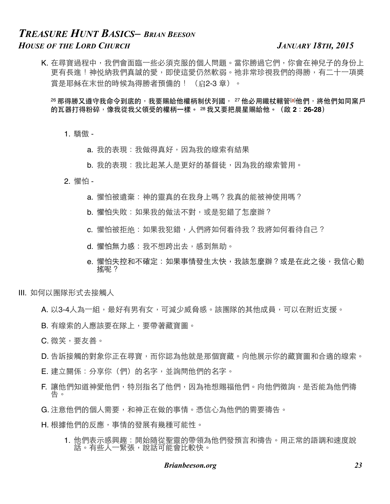K. 在尋寶過程中,我們會面臨一些必須克服的個人問題。當你勝過它們,你會在神兒子的身份上 更有長進!神悦納我們真誠的愛,即使這愛仍然軟弱。祂非常珍視我們的得勝,有二十一項獎 賞是耶稣在末世的時候為得勝者預備的! (启2-3章)。

<sup>26</sup> 那得勝又遵守我命令到底的,我要賜給他權柄制伏列國, 27 他必用鐵杖轄管[@]他們,將他們如同窯戶 的瓦器打得粉碎,像我從我父領受的權柄一樣。 28 我又要把晨星賜給他。(啟 2:26-28)

1. 驕傲 -

- a. 我的表現: 我做得真好, 因為我的線索有結果
- b. 我的表現: 我比起某人是更好的基督徒,因為我的線索管用。
- 2. 懼怕
	- a. 懼怕被遺棄: 神的靈真的在我身上嗎?我真的能被神使用嗎?
	- b. 懼怕失敗 : 如果我的做法不對, 或是犯錯了怎麼辦?
	- c. 懼怕被拒绝: 如果我犯錯, 人們將如何看待我?我將如何看待自己?
	- d. 懼怕無力感:我不想跨出去,感到無助。
	- e. 懼怕失控和不確定:如果事情發生太快,我該怎麼辦?或是在此之後,我信心動 搖呢?
- III. 如何以團隊形式去接觸⼈
	- A. 以3-4人為一組,最好有男有女,可減少威脅感。該團隊的其他成員,可以在附近支援。
	- B. 有線索的人應該要在隊上, 要帶著藏寶圖。
	- C. 微笑,要友善。
	- D. 告訴接觸的對象你正在尋寶,而你認為他就是那個寶藏。向他展示你的藏寶圖和合適的線索。
	- E. 建⽴關係:分享你(們)的名字,並詢問他們的名字。
	- F. 讓他們知道神愛他們,特別指名了他們,因為祂想賜福他們。向他們徵詢,是否能為他們禱 告。
	- G. 注意他們的個人需要,和神正在做的事情。憑信心為他們的需要禱告。
	- H. 根據他們的反應,事情的發展有幾種可能性。
		- 1. 他們表示感興趣:開始隨從聖靈的帶領為他們發預言和禱告。用正常的語調和速度說 **話¨**;有些人一緊張,說話可能會比較快。